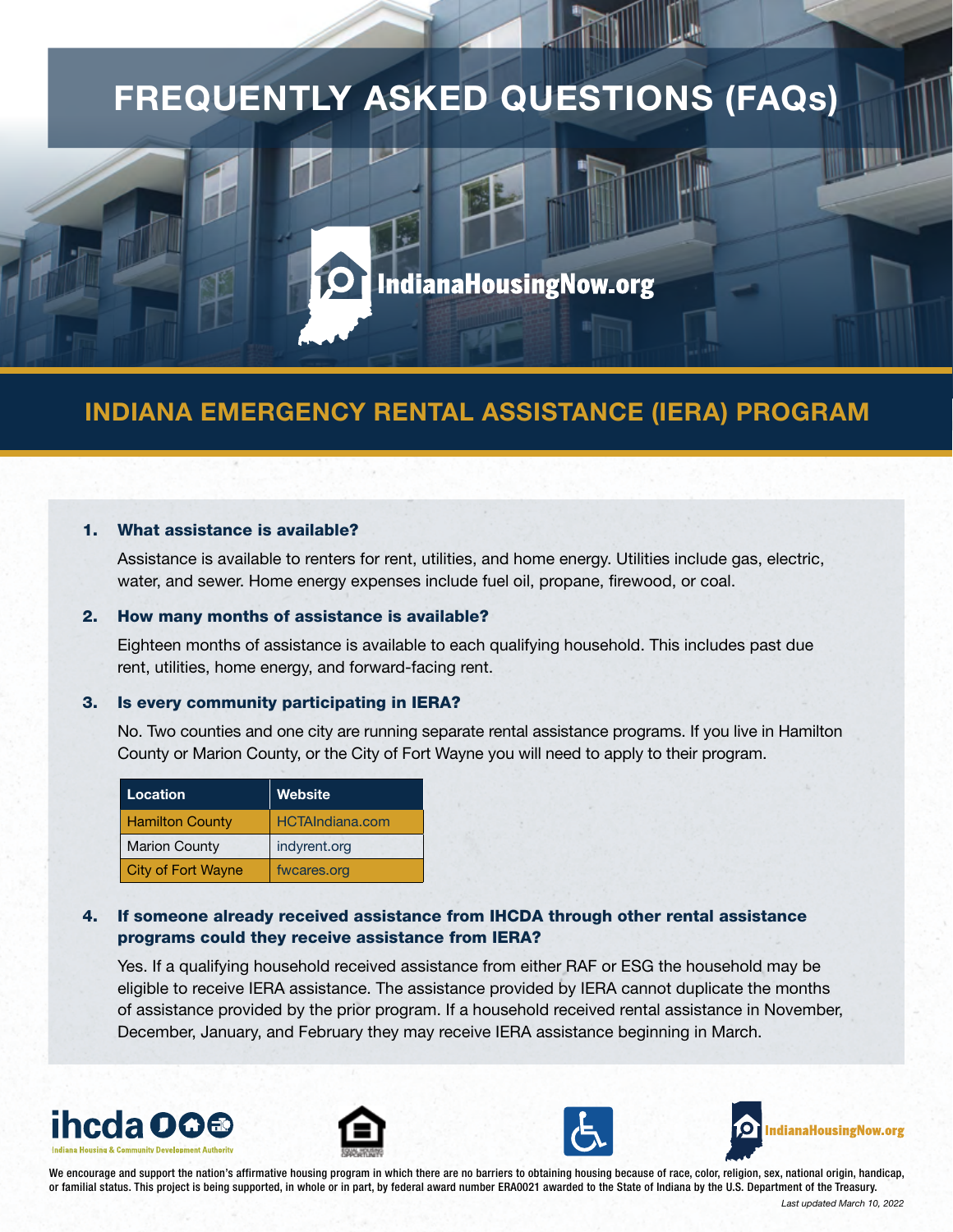# FREQUENTLY ASKED QUESTIONS (FAQs)

# IndianaHousingNow.org

# INDIANA EMERGENCY RENTAL ASSISTANCE (IERA) PROGRAM

#### 1. What assistance is available?

Assistance is available to renters for rent, utilities, and home energy. Utilities include gas, electric, water, and sewer. Home energy expenses include fuel oil, propane, firewood, or coal.

#### 2. How many months of assistance is available?

Eighteen months of assistance is available to each qualifying household. This includes past due rent, utilities, home energy, and forward-facing rent.

#### 3. Is every community participating in IERA?

No. Two counties and one city are running separate rental assistance programs. If you live in Hamilton County or Marion County, or the City of Fort Wayne you will need to apply to their program.

| Location                  | Website                |
|---------------------------|------------------------|
| <b>Hamilton County</b>    | <b>HCTAIndiana.com</b> |
| <b>Marion County</b>      | indyrent.org           |
| <b>City of Fort Wayne</b> | fwcares.org            |

#### 4. If someone already received assistance from IHCDA through other rental assistance programs could they receive assistance from IERA?

Yes. If a qualifying household received assistance from either RAF or ESG the household may be eligible to receive IERA assistance. The assistance provided by IERA cannot duplicate the months of assistance provided by the prior program. If a household received rental assistance in November, December, January, and February they may receive IERA assistance beginning in March.









We encourage and support the nation's affirmative housing program in which there are no barriers to obtaining housing because of race, color, religion, sex, national origin, handicap, or familial status. This project is being supported, in whole or in part, by federal award number ERA0021 awarded to the State of Indiana by the U.S. Department of the Treasury.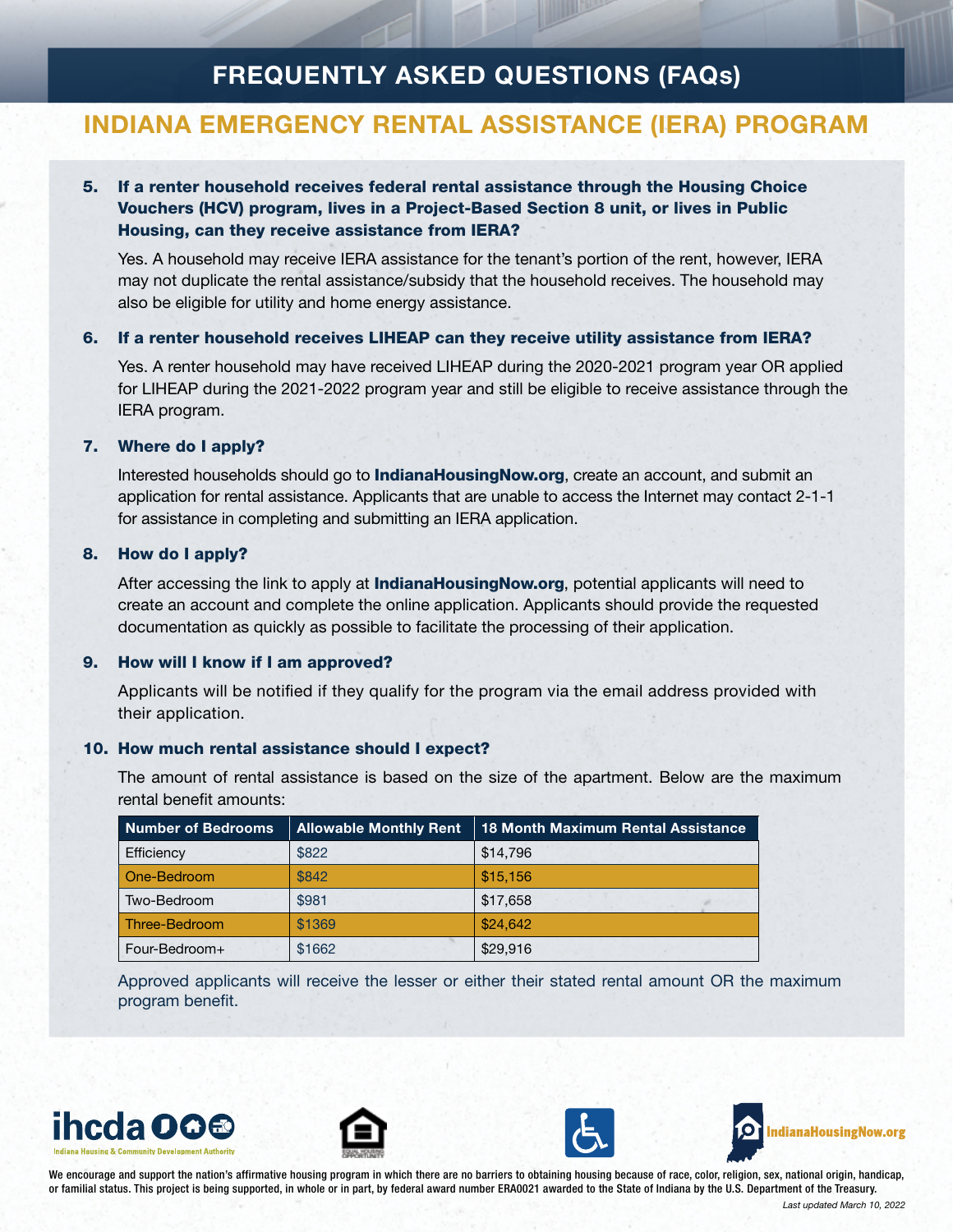## FREQUENTLY ASKED QUESTIONS (FAQs)

### INDIANA EMERGENCY RENTAL ASSISTANCE (IERA) PROGRAM

#### 5. If a renter household receives federal rental assistance through the Housing Choice Vouchers (HCV) program, lives in a Project-Based Section 8 unit, or lives in Public Housing, can they receive assistance from IERA?

Yes. A household may receive IERA assistance for the tenant's portion of the rent, however, IERA may not duplicate the rental assistance/subsidy that the household receives. The household may also be eligible for utility and home energy assistance.

#### 6. If a renter household receives LIHEAP can they receive utility assistance from IERA?

Yes. A renter household may have received LIHEAP during the 2020-2021 program year OR applied for LIHEAP during the 2021-2022 program year and still be eligible to receive assistance through the IERA program.

#### 7. Where do I apply?

Interested households should go to **[IndianaHousingNow.org](http://indianahousingnow.org/)**, create an account, and submit an application for rental assistance. Applicants that are unable to access the Internet may contact 2-1-1 for assistance in completing and submitting an IERA application.

#### 8. How do I apply?

After accessing the link to apply at **[IndianaHousingNow.org](http://indianahousingnow.org/)**, potential applicants will need to create an account and complete the online application. Applicants should provide the requested documentation as quickly as possible to facilitate the processing of their application.

#### 9. How will I know if I am approved?

Applicants will be notified if they qualify for the program via the email address provided with their application.

#### 10. How much rental assistance should I expect?

The amount of rental assistance is based on the size of the apartment. Below are the maximum rental benefit amounts:

| Number of Bedrooms | <b>Allowable Monthly Rent</b> | <b>18 Month Maximum Rental Assistance</b> |  |  |  |
|--------------------|-------------------------------|-------------------------------------------|--|--|--|
| Efficiency         | \$822                         | \$14,796                                  |  |  |  |
| One-Bedroom        | \$842                         | \$15,156                                  |  |  |  |
| Two-Bedroom        | \$981                         | \$17,658                                  |  |  |  |
| Three-Bedroom      | \$1369                        | \$24,642                                  |  |  |  |
| Four-Bedroom+      | \$1662                        | \$29,916                                  |  |  |  |

Approved applicants will receive the lesser or either their stated rental amount OR the maximum program benefit.









We encourage and support the nation's affirmative housing program in which there are no barriers to obtaining housing because of race, color, religion, sex, national origin, handicap, or familial status. This project is being supported, in whole or in part, by federal award number ERA0021 awarded to the State of Indiana by the U.S. Department of the Treasury.